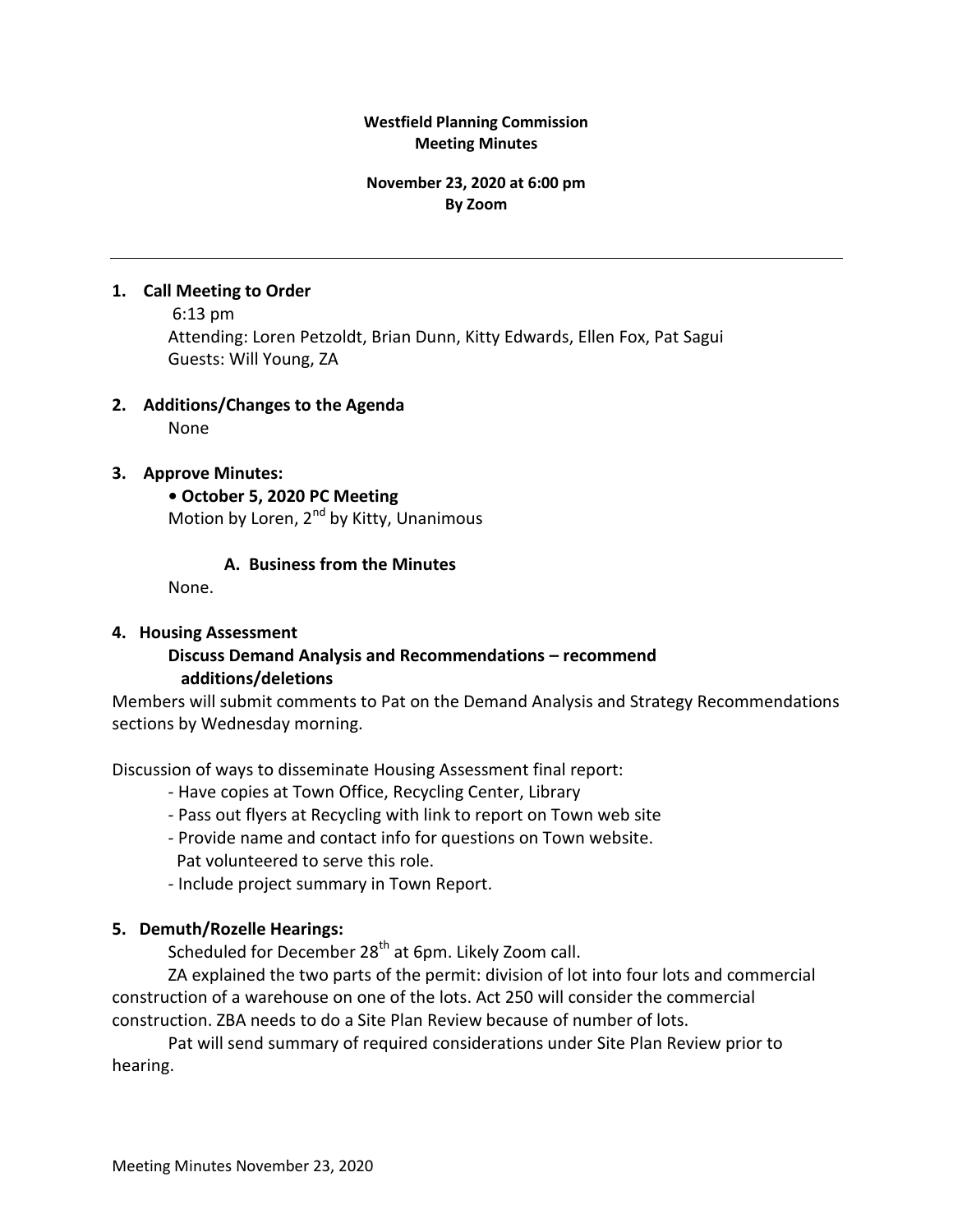#### **Westfield Planning Commission Meeting Minutes**

#### **November 23, 2020 at 6:00 pm By Zoom**

### **1. Call Meeting to Order**

6:13 pm Attending: Loren Petzoldt, Brian Dunn, Kitty Edwards, Ellen Fox, Pat Sagui Guests: Will Young, ZA

# **2. Additions/Changes to the Agenda**

None

# **3. Approve Minutes:**

**• October 5, 2020 PC Meeting** Motion by Loren, 2<sup>nd</sup> by Kitty, Unanimous

# **A. Business from the Minutes**

None.

# **4. Housing Assessment**

# **Discuss Demand Analysis and Recommendations – recommend additions/deletions**

Members will submit comments to Pat on the Demand Analysis and Strategy Recommendations sections by Wednesday morning.

Discussion of ways to disseminate Housing Assessment final report:

- Have copies at Town Office, Recycling Center, Library
- Pass out flyers at Recycling with link to report on Town web site
- Provide name and contact info for questions on Town website. Pat volunteered to serve this role.
- Include project summary in Town Report.

# **5. Demuth/Rozelle Hearings:**

Scheduled for December 28<sup>th</sup> at 6pm. Likely Zoom call.

ZA explained the two parts of the permit: division of lot into four lots and commercial construction of a warehouse on one of the lots. Act 250 will consider the commercial construction. ZBA needs to do a Site Plan Review because of number of lots.

Pat will send summary of required considerations under Site Plan Review prior to hearing.